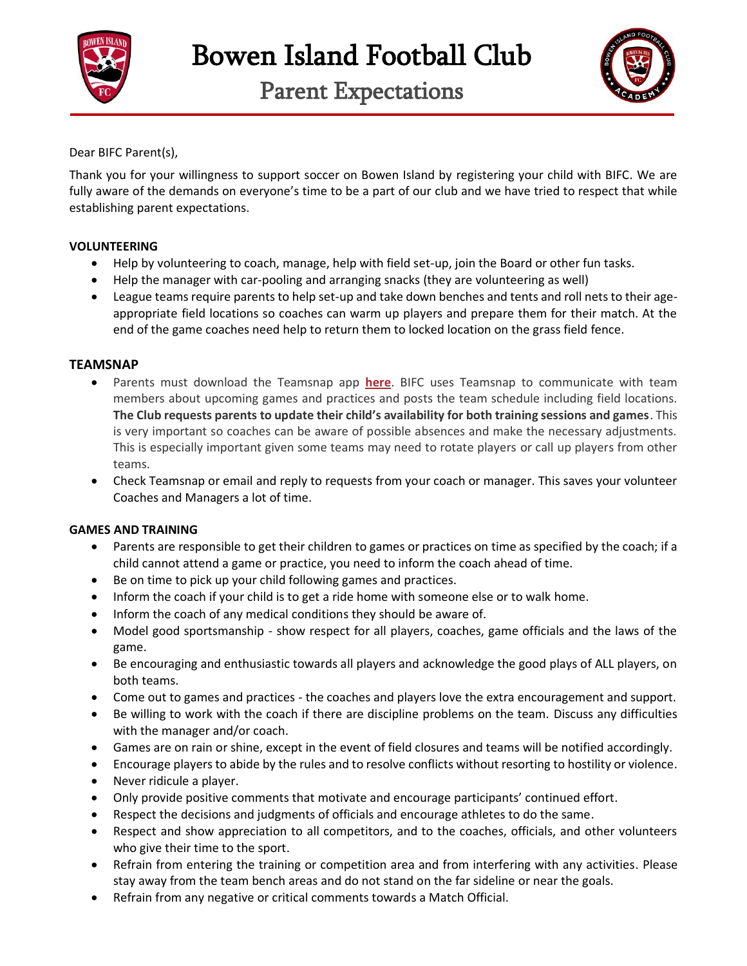

Parent Expectations



Dear BIFC Parent(s),

Thank you for your willingness to support soccer on Bowen Island by registering your child with BIFC. We are fully aware of the demands on everyone's time to be a part of our club and we have tried to respect that while establishing parent expectations.

# **VOLUNTEERING**

- Help by volunteering to coach, manage, help with field set-up, join the Board or other fun tasks.
- Help the manager with car-pooling and arranging snacks (they are volunteering as well)
- League teams require parents to help set-up and take down benches and tents and roll nets to their ageappropriate field locations so coaches can warm up players and prepare them for their match. At the end of the game coaches need help to return them to locked location on the grass field fence.

# **TEAMSNAP**

- Parents must download the Teamsnap app **[here](https://www.teamsnap.com/mobile)**. BIFC uses Teamsnap to communicate with team members about upcoming games and practices and posts the team schedule including field locations. **The Club requests parents to update their child's availability for both training sessions and games**. This is very important so coaches can be aware of possible absences and make the necessary adjustments. This is especially important given some teams may need to rotate players or call up players from other teams.
- Check Teamsnap or email and reply to requests from your coach or manager. This saves your volunteer Coaches and Managers a lot of time.

### **GAMES AND TRAINING**

- Parents are responsible to get their children to games or practices on time as specified by the coach; if a child cannot attend a game or practice, you need to inform the coach ahead of time.
- Be on time to pick up your child following games and practices.
- Inform the coach if your child is to get a ride home with someone else or to walk home.
- Inform the coach of any medical conditions they should be aware of.
- Model good sportsmanship show respect for all players, coaches, game officials and the laws of the game.
- Be encouraging and enthusiastic towards all players and acknowledge the good plays of ALL players, on both teams.
- Come out to games and practices the coaches and players love the extra encouragement and support.
- Be willing to work with the coach if there are discipline problems on the team. Discuss any difficulties with the manager and/or coach.
- Games are on rain or shine, except in the event of field closures and teams will be notified accordingly.
- Encourage players to abide by the rules and to resolve conflicts without resorting to hostility or violence.
- Never ridicule a player.
- Only provide positive comments that motivate and encourage participants' continued effort.
- Respect the decisions and judgments of officials and encourage athletes to do the same.
- Respect and show appreciation to all competitors, and to the coaches, officials, and other volunteers who give their time to the sport.
- Refrain from entering the training or competition area and from interfering with any activities. Please stay away from the team bench areas and do not stand on the far sideline or near the goals.
- Refrain from any negative or critical comments towards a Match Official.